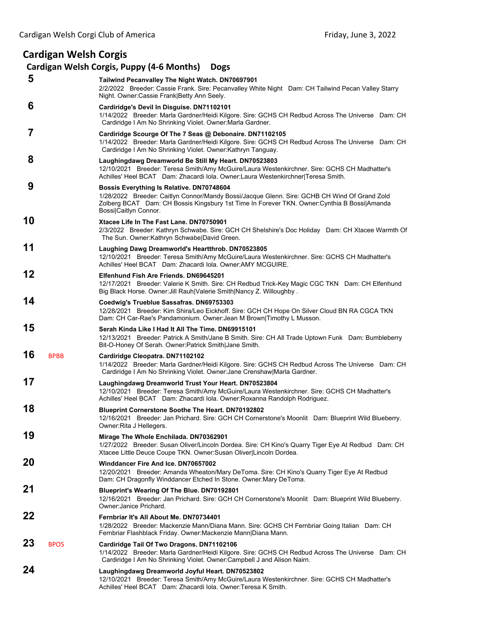## **Cardigan Welsh Corgis**

## **Cardigan Welsh Corgis, Puppy (4‐6 Months) Dogs 5 Tailwind Pecanvalley The Night Watch. DN70697901** 2/2/2022 Breeder: Cassie Frank. Sire: Pecanvalley White Night Dam: CH Tailwind Pecan Valley Starry Night. Owner:Cassie Frank|Betty Ann Seely.  **6 Cardiridge's Devil In Disguise. DN71102101** 1/14/2022 Breeder: Marla Gardner/Heidi Kilgore. Sire: GCHS CH Redbud Across The Universe Dam: CH Cardiridge I Am No Shrinking Violet. Owner:Marla Gardner.  **7 Cardiridge Scourge Of The 7 Seas @ Debonaire. DN71102105** 1/14/2022 Breeder: Marla Gardner/Heidi Kilgore. Sire: GCHS CH Redbud Across The Universe Dam: CH Cardiridge I Am No Shrinking Violet. Owner:Kathryn Tanguay.  **8 Laughingdawg Dreamworld Be Still My Heart. DN70523803** 12/10/2021 Breeder: Teresa Smith/Amy McGuire/Laura Westenkirchner. Sire: GCHS CH Madhatter's Achilles' Heel BCAT Dam: Zhacardi Iola. Owner:Laura Westenkirchner|Teresa Smith.  **9 Bossis Everything Is Relative. DN70748604** 1/28/2022 Breeder: Caitlyn Connor/Mandy Bossi/Jacque Glenn. Sire: GCHB CH Wind Of Grand Zold Zolberg BCAT Dam: CH Bossis Kingsbury 1st Time In Forever TKN. Owner:Cynthia B Bossi|Amanda Bossi|Caitlyn Connor. **10 Xtacee Life In The Fast Lane. DN70750901** 2/3/2022 Breeder: Kathryn Schwabe. Sire: GCH CH Shelshire's Doc Holiday Dam: CH Xtacee Warmth Of The Sun. Owner:Kathryn Schwabe|David Green. **11 Laughing Dawg Dreamworld's Heartthrob. DN70523805** 12/10/2021 Breeder: Teresa Smith/Amy McGuire/Laura Westenkirchner. Sire: GCHS CH Madhatter's Achilles' Heel BCAT Dam: Zhacardi Iola. Owner:AMY MCGUIRE. **12 Elfenhund Fish Are Friends. DN69645201** 12/17/2021 Breeder: Valerie K Smith. Sire: CH Redbud Trick-Key Magic CGC TKN Dam: CH Elfenhund Big Black Horse. Owner:Jill Rauh|Valerie Smith|Nancy Z. Willoughby . **14 Coedwig's Trueblue Sassafras. DN69753303** 12/28/2021 Breeder: Kim Shira/Leo Eickhoff. Sire: GCH CH Hope On Silver Cloud BN RA CGCA TKN Dam: CH Car-Rae's Pandamonium. Owner:Jean M Brown|Timothy L Musson. **15 Serah Kinda Like I Had It All The Time. DN69915101** 12/13/2021 Breeder: Patrick A Smith/Jane B Smith. Sire: CH All Trade Uptown Funk Dam: Bumbleberry Bit-O-Honey Of Serah. Owner:Patrick Smith|Jane Smith. **16** BPBB **Cardiridge Cleopatra. DN71102102** 1/14/2022 Breeder: Marla Gardner/Heidi Kilgore. Sire: GCHS CH Redbud Across The Universe Dam: CH Cardiridge I Am No Shrinking Violet. Owner:Jane Crenshaw|Marla Gardner. **17 Laughingdawg Dreamworld Trust Your Heart. DN70523804** 12/10/2021 Breeder: Teresa Smith/Amy McGuire/Laura Westenkirchner. Sire: GCHS CH Madhatter's Achilles' Heel BCAT Dam: Zhacardi Iola. Owner:Roxanna Randolph Rodriguez. **18 Blueprint Cornerstone Soothe The Heart. DN70192802** 12/16/2021 Breeder: Jan Prichard. Sire: GCH CH Cornerstone's Moonlit Dam: Blueprint Wild Blueberry. Owner:Rita J Hellegers. **19 Mirage The Whole Enchilada. DN70362901** 1/27/2022 Breeder: Susan Oliver/Lincoln Dordea. Sire: CH Kino's Quarry Tiger Eye At Redbud Dam: CH Xtacee Little Deuce Coupe TKN. Owner:Susan Oliver|Lincoln Dordea. **20 Winddancer Fire And Ice. DN70657002** 12/20/2021 Breeder: Amanda Wheaton/Mary DeToma. Sire: CH Kino's Quarry Tiger Eye At Redbud Dam: CH Dragonfly Winddancer Etched In Stone. Owner:Mary DeToma. **21 Blueprint's Wearing Of The Blue. DN70192801** 12/16/2021 Breeder: Jan Prichard. Sire: GCH CH Cornerstone's Moonlit Dam: Blueprint Wild Blueberry. Owner:Janice Prichard. **22 Fernbriar It's All About Me. DN70734401** 1/28/2022 Breeder: Mackenzie Mann/Diana Mann. Sire: GCHS CH Fernbriar Going Italian Dam: CH Fernbriar Flashblack Friday. Owner:Mackenzie Mann|Diana Mann. **23** BPOS **Cardiridge Tail Of Two Dragons. DN71102106** 1/14/2022 Breeder: Marla Gardner/Heidi Kilgore. Sire: GCHS CH Redbud Across The Universe Dam: CH Cardiridge I Am No Shrinking Violet. Owner:Campbell J and Alison Nairn. **24 Laughingdawg Dreamworld Joyful Heart. DN70523802** 12/10/2021 Breeder: Teresa Smith/Amy McGuire/Laura Westenkirchner. Sire: GCHS CH Madhatter's Achilles' Heel BCAT Dam: Zhacardi Iola. Owner:Teresa K Smith.